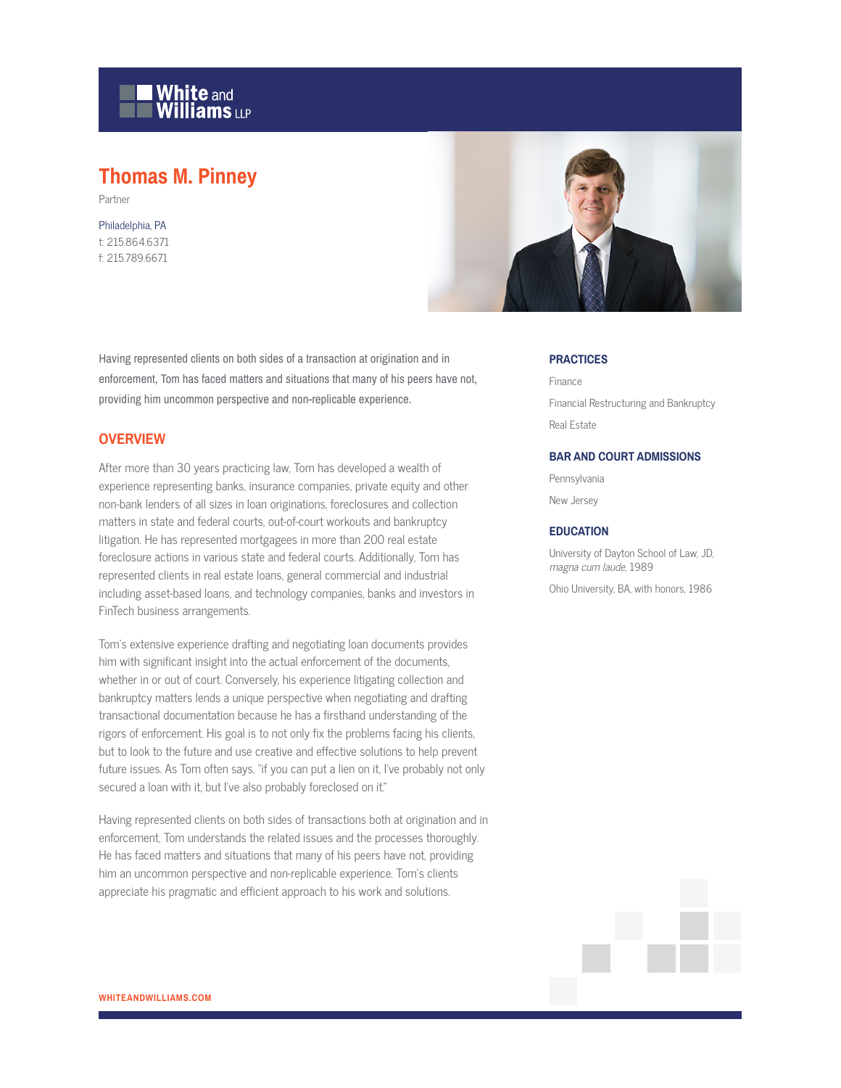

# **Thomas M. Pinney**

Partner

Philadelphia, PA t: 215.864.6371 f: 215.789.6671



Having represented clients on both sides of a transaction at origination and in enforcement, Tom has faced matters and situations that many of his peers have not, providing him uncommon perspective and non-replicable experience.

#### **OVERVIEW**

After more than 30 years practicing law, Tom has developed a wealth of experience representing banks, insurance companies, private equity and other non-bank lenders of all sizes in loan originations, foreclosures and collection matters in state and federal courts, out-of-court workouts and bankruptcy litigation. He has represented mortgagees in more than 200 real estate foreclosure actions in various state and federal courts. Additionally, Tom has represented clients in real estate loans, general commercial and industrial including asset-based loans, and technology companies, banks and investors in FinTech business arrangements.

Tom's extensive experience drafting and negotiating loan documents provides him with significant insight into the actual enforcement of the documents, whether in or out of court. Conversely, his experience litigating collection and bankruptcy matters lends a unique perspective when negotiating and drafting transactional documentation because he has a firsthand understanding of the rigors of enforcement. His goal is to not only fix the problems facing his clients, but to look to the future and use creative and effective solutions to help prevent future issues. As Tom often says, "if you can put a lien on it, I've probably not only secured a loan with it, but I've also probably foreclosed on it."

Having represented clients on both sides of transactions both at origination and in enforcement, Tom understands the related issues and the processes thoroughly. He has faced matters and situations that many of his peers have not, providing him an uncommon perspective and non-replicable experience. Tom's clients appreciate his pragmatic and efficient approach to his work and solutions.

#### **PRACTICES**

Finance Financial Restructuring and Bankruptcy Real Estate

#### **BAR AND COURT ADMISSIONS**

Pennsylvania New Jersey

#### **EDUCATION**

University of Dayton School of Law, JD, magna cum laude, 1989

Ohio University, BA, with honors, 1986

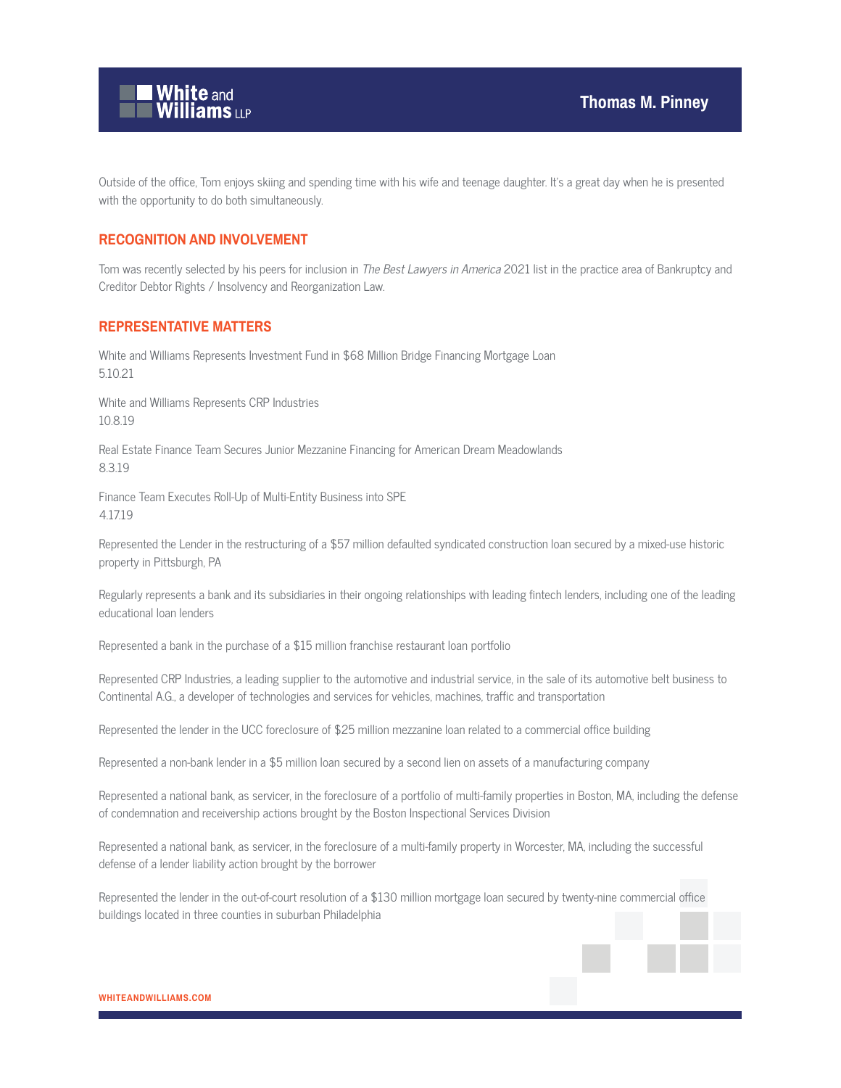

Outside of the office, Tom enjoys skiing and spending time with his wife and teenage daughter. It's a great day when he is presented with the opportunity to do both simultaneously.

#### **RECOGNITION AND INVOLVEMENT**

Tom was recently selected by his peers for inclusion in The Best Lawyers in America 2021 list in the practice area of Bankruptcy and Creditor Debtor Rights / Insolvency and Reorganization Law.

#### **REPRESENTATIVE MATTERS**

White and Williams Represents Investment Fund in \$68 Million Bridge Financing Mortgage Loan 5.10.21

White and Williams Represents CRP Industries 10.8.19

Real Estate Finance Team Secures Junior Mezzanine Financing for American Dream Meadowlands 8.3.19

Finance Team Executes Roll-Up of Multi-Entity Business into SPE 4.17.19

Represented the Lender in the restructuring of a \$57 million defaulted syndicated construction loan secured by a mixed-use historic property in Pittsburgh, PA

Regularly represents a bank and its subsidiaries in their ongoing relationships with leading fintech lenders, including one of the leading educational loan lenders

Represented a bank in the purchase of a \$15 million franchise restaurant loan portfolio

Represented CRP Industries, a leading supplier to the automotive and industrial service, in the sale of its automotive belt business to Continental A.G., a developer of technologies and services for vehicles, machines, traffic and transportation

Represented the lender in the UCC foreclosure of \$25 million mezzanine loan related to a commercial office building

Represented a non-bank lender in a \$5 million loan secured by a second lien on assets of a manufacturing company

Represented a national bank, as servicer, in the foreclosure of a portfolio of multi-family properties in Boston, MA, including the defense of condemnation and receivership actions brought by the Boston Inspectional Services Division

Represented a national bank, as servicer, in the foreclosure of a multi-family property in Worcester, MA, including the successful defense of a lender liability action brought by the borrower

Represented the lender in the out-of-court resolution of a \$130 million mortgage loan secured by twenty-nine commercial office buildings located in three counties in suburban Philadelphia

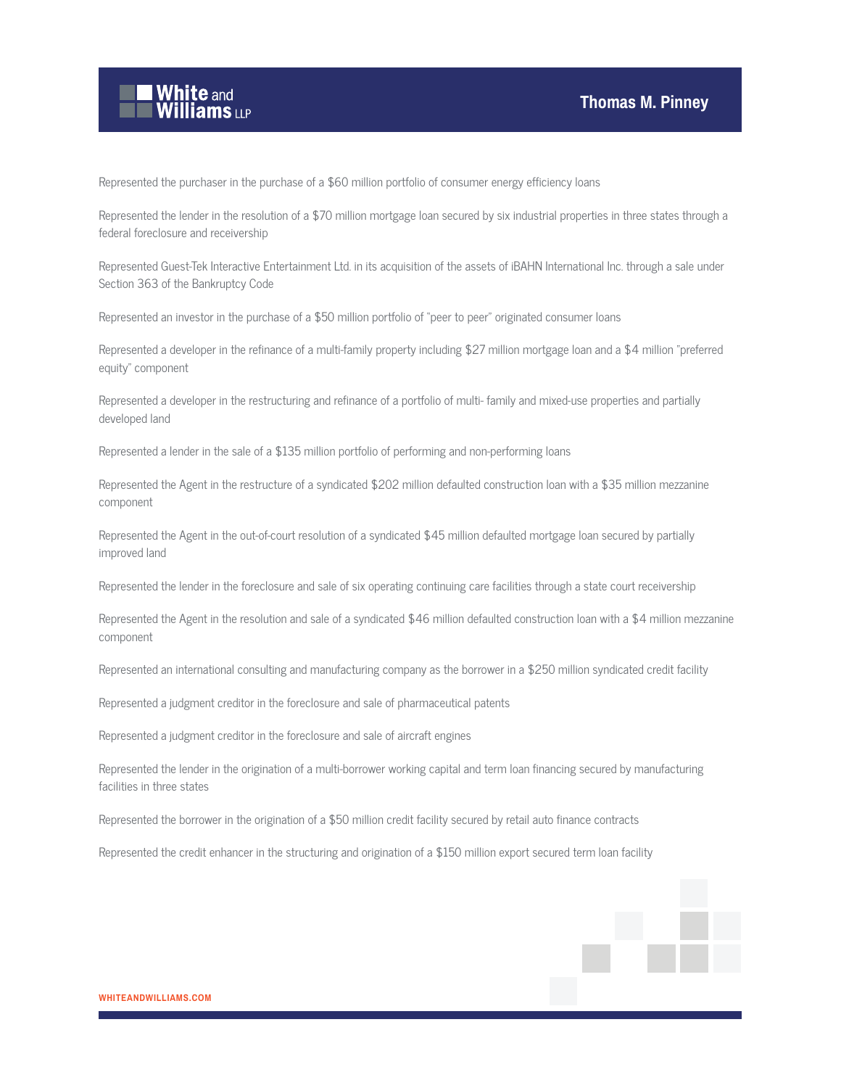

Represented the purchaser in the purchase of a \$60 million portfolio of consumer energy efficiency loans

Represented the lender in the resolution of a \$70 million mortgage loan secured by six industrial properties in three states through a federal foreclosure and receivership

Represented Guest-Tek Interactive Entertainment Ltd. in its acquisition of the assets of iBAHN International Inc. through a sale under Section 363 of the Bankruptcy Code

Represented an investor in the purchase of a \$50 million portfolio of "peer to peer" originated consumer loans

Represented a developer in the refinance of a multi-family property including \$27 million mortgage loan and a \$4 million "preferred equity" component

Represented a developer in the restructuring and refinance of a portfolio of multi- family and mixed-use properties and partially developed land

Represented a lender in the sale of a \$135 million portfolio of performing and non-performing loans

Represented the Agent in the restructure of a syndicated \$202 million defaulted construction loan with a \$35 million mezzanine component

Represented the Agent in the out-of-court resolution of a syndicated \$45 million defaulted mortgage loan secured by partially improved land

Represented the lender in the foreclosure and sale of six operating continuing care facilities through a state court receivership

Represented the Agent in the resolution and sale of a syndicated \$46 million defaulted construction loan with a \$4 million mezzanine component

Represented an international consulting and manufacturing company as the borrower in a \$250 million syndicated credit facility

Represented a judgment creditor in the foreclosure and sale of pharmaceutical patents

Represented a judgment creditor in the foreclosure and sale of aircraft engines

Represented the lender in the origination of a multi-borrower working capital and term loan financing secured by manufacturing facilities in three states

Represented the borrower in the origination of a \$50 million credit facility secured by retail auto finance contracts

Represented the credit enhancer in the structuring and origination of a \$150 million export secured term loan facility